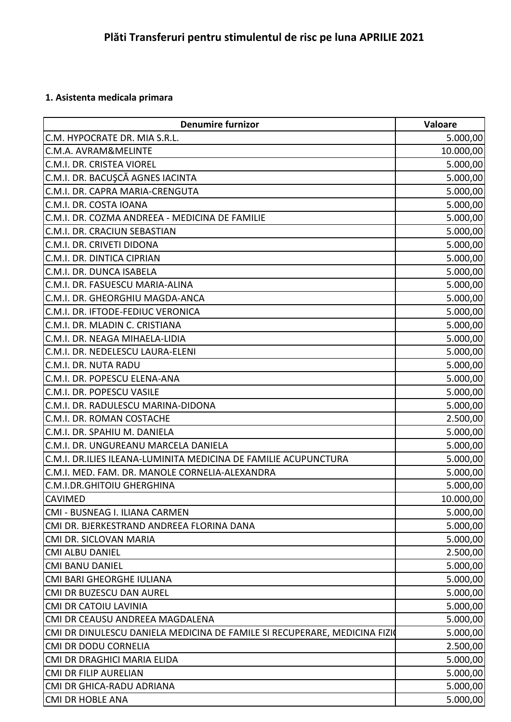## **1. Asistenta medicala primara**

| <b>Denumire furnizor</b>                                                  | Valoare   |
|---------------------------------------------------------------------------|-----------|
| C.M. HYPOCRATE DR. MIA S.R.L.                                             | 5.000,00  |
| C.M.A. AVRAM&MELINTE                                                      | 10.000,00 |
| C.M.I. DR. CRISTEA VIOREL                                                 | 5.000,00  |
| C.M.I. DR. BACUŞCĂ AGNES IACINTA                                          | 5.000,00  |
| C.M.I. DR. CAPRA MARIA-CRENGUTA                                           | 5.000,00  |
| C.M.I. DR. COSTA IOANA                                                    | 5.000,00  |
| C.M.I. DR. COZMA ANDREEA - MEDICINA DE FAMILIE                            | 5.000,00  |
| C.M.I. DR. CRACIUN SEBASTIAN                                              | 5.000,00  |
| C.M.I. DR. CRIVETI DIDONA                                                 | 5.000,00  |
| C.M.I. DR. DINTICA CIPRIAN                                                | 5.000,00  |
| C.M.I. DR. DUNCA ISABELA                                                  | 5.000,00  |
| C.M.I. DR. FASUESCU MARIA-ALINA                                           | 5.000,00  |
| C.M.I. DR. GHEORGHIU MAGDA-ANCA                                           | 5.000,00  |
| C.M.I. DR. IFTODE-FEDIUC VERONICA                                         | 5.000,00  |
| C.M.I. DR. MLADIN C. CRISTIANA                                            | 5.000,00  |
| C.M.I. DR. NEAGA MIHAELA-LIDIA                                            | 5.000,00  |
| C.M.I. DR. NEDELESCU LAURA-ELENI                                          | 5.000,00  |
| C.M.I. DR. NUTA RADU                                                      | 5.000,00  |
| C.M.I. DR. POPESCU ELENA-ANA                                              | 5.000,00  |
| C.M.I. DR. POPESCU VASILE                                                 | 5.000,00  |
| C.M.I. DR. RADULESCU MARINA-DIDONA                                        | 5.000,00  |
| C.M.I. DR. ROMAN COSTACHE                                                 | 2.500,00  |
| C.M.I. DR. SPAHIU M. DANIELA                                              | 5.000,00  |
| C.M.I. DR. UNGUREANU MARCELA DANIELA                                      | 5.000,00  |
| C.M.I. DR.ILIES ILEANA-LUMINITA MEDICINA DE FAMILIE ACUPUNCTURA           | 5.000,00  |
| C.M.I. MED. FAM. DR. MANOLE CORNELIA-ALEXANDRA                            | 5.000,00  |
| <b>C.M.I.DR.GHITOIU GHERGHINA</b>                                         | 5.000,00  |
| <b>CAVIMED</b>                                                            | 10.000,00 |
| CMI - BUSNEAG I. ILIANA CARMEN                                            | 5.000,00  |
| CMI DR. BJERKESTRAND ANDREEA FLORINA DANA                                 | 5.000,00  |
| CMI DR. SICLOVAN MARIA                                                    | 5.000,00  |
| <b>CMI ALBU DANIEL</b>                                                    | 2.500,00  |
| <b>CMI BANU DANIEL</b>                                                    | 5.000,00  |
| <b>CMI BARI GHEORGHE IULIANA</b>                                          | 5.000,00  |
| CMI DR BUZESCU DAN AUREL                                                  | 5.000,00  |
| <b>CMI DR CATOIU LAVINIA</b>                                              | 5.000,00  |
| CMI DR CEAUSU ANDREEA MAGDALENA                                           | 5.000,00  |
| CMI DR DINULESCU DANIELA MEDICINA DE FAMILE SI RECUPERARE, MEDICINA FIZIO | 5.000,00  |
| <b>CMI DR DODU CORNELIA</b>                                               | 2.500,00  |
| CMI DR DRAGHICI MARIA ELIDA                                               | 5.000,00  |
| <b>CMI DR FILIP AURELIAN</b>                                              | 5.000,00  |
| CMI DR GHICA-RADU ADRIANA                                                 | 5.000,00  |
| <b>CMI DR HOBLE ANA</b>                                                   | 5.000,00  |